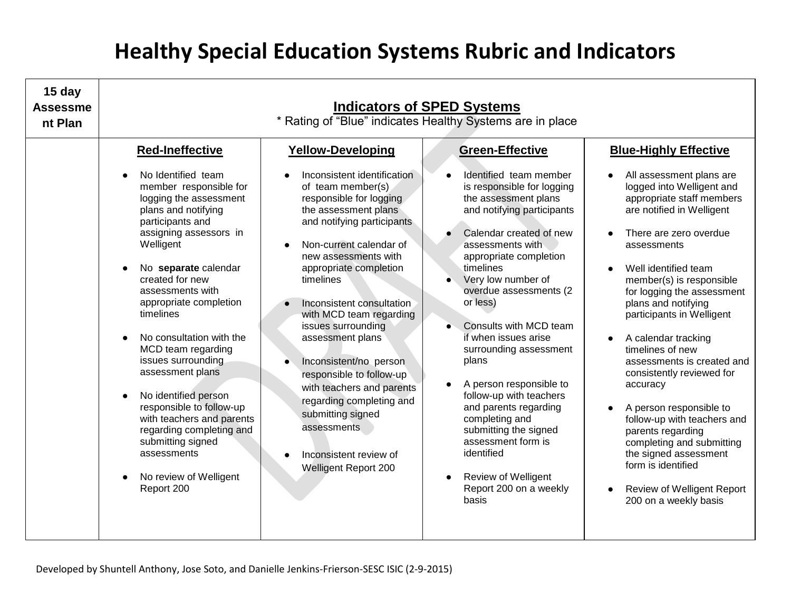| 15 day<br><b>Assessme</b><br>nt Plan | <b>Indicators of SPED Systems</b><br>* Rating of "Blue" indicates Healthy Systems are in place                                                                                                                                                                                                                                                                                                                                                                                                                                                                                |                                                                                                                                                                                                                                                                                                                                                                                                                                                                                                                                                                                                 |                                                                                                                                                                                                                                                                                                                                                                                                                                                                                                                                                                                                            |                                                                                                                                                                                                                                                                                                                                                                                                                                                                                                                                                                                                                                                                                        |
|--------------------------------------|-------------------------------------------------------------------------------------------------------------------------------------------------------------------------------------------------------------------------------------------------------------------------------------------------------------------------------------------------------------------------------------------------------------------------------------------------------------------------------------------------------------------------------------------------------------------------------|-------------------------------------------------------------------------------------------------------------------------------------------------------------------------------------------------------------------------------------------------------------------------------------------------------------------------------------------------------------------------------------------------------------------------------------------------------------------------------------------------------------------------------------------------------------------------------------------------|------------------------------------------------------------------------------------------------------------------------------------------------------------------------------------------------------------------------------------------------------------------------------------------------------------------------------------------------------------------------------------------------------------------------------------------------------------------------------------------------------------------------------------------------------------------------------------------------------------|----------------------------------------------------------------------------------------------------------------------------------------------------------------------------------------------------------------------------------------------------------------------------------------------------------------------------------------------------------------------------------------------------------------------------------------------------------------------------------------------------------------------------------------------------------------------------------------------------------------------------------------------------------------------------------------|
|                                      | <b>Red-Ineffective</b><br>No Identified team<br>member responsible for<br>logging the assessment<br>plans and notifying<br>participants and<br>assigning assessors in<br>Welligent<br>No separate calendar<br>created for new<br>assessments with<br>appropriate completion<br>timelines<br>No consultation with the<br>MCD team regarding<br>issues surrounding<br>assessment plans<br>No identified person<br>responsible to follow-up<br>with teachers and parents<br>regarding completing and<br>submitting signed<br>assessments<br>No review of Welligent<br>Report 200 | <b>Yellow-Developing</b><br>Inconsistent identification<br>of team member(s)<br>responsible for logging<br>the assessment plans<br>and notifying participants<br>Non-current calendar of<br>new assessments with<br>appropriate completion<br>timelines<br>Inconsistent consultation<br>with MCD team regarding<br>issues surrounding<br>assessment plans<br>Inconsistent/no person<br>$\bullet$<br>responsible to follow-up<br>with teachers and parents<br>regarding completing and<br>submitting signed<br>assessments<br>Inconsistent review of<br>$\bullet$<br><b>Welligent Report 200</b> | <b>Green-Effective</b><br>Identified team member<br>is responsible for logging<br>the assessment plans<br>and notifying participants<br>Calendar created of new<br>assessments with<br>appropriate completion<br>timelines<br>Very low number of<br>overdue assessments (2<br>or less)<br>Consults with MCD team<br>if when issues arise<br>surrounding assessment<br>plans<br>A person responsible to<br>follow-up with teachers<br>and parents regarding<br>completing and<br>submitting the signed<br>assessment form is<br>identified<br><b>Review of Welligent</b><br>Report 200 on a weekly<br>basis | <b>Blue-Highly Effective</b><br>All assessment plans are<br>logged into Welligent and<br>appropriate staff members<br>are notified in Welligent<br>There are zero overdue<br>assessments<br>Well identified team<br>member(s) is responsible<br>for logging the assessment<br>plans and notifying<br>participants in Welligent<br>A calendar tracking<br>$\bullet$<br>timelines of new<br>assessments is created and<br>consistently reviewed for<br>accuracy<br>A person responsible to<br>follow-up with teachers and<br>parents regarding<br>completing and submitting<br>the signed assessment<br>form is identified<br><b>Review of Welligent Report</b><br>200 on a weekly basis |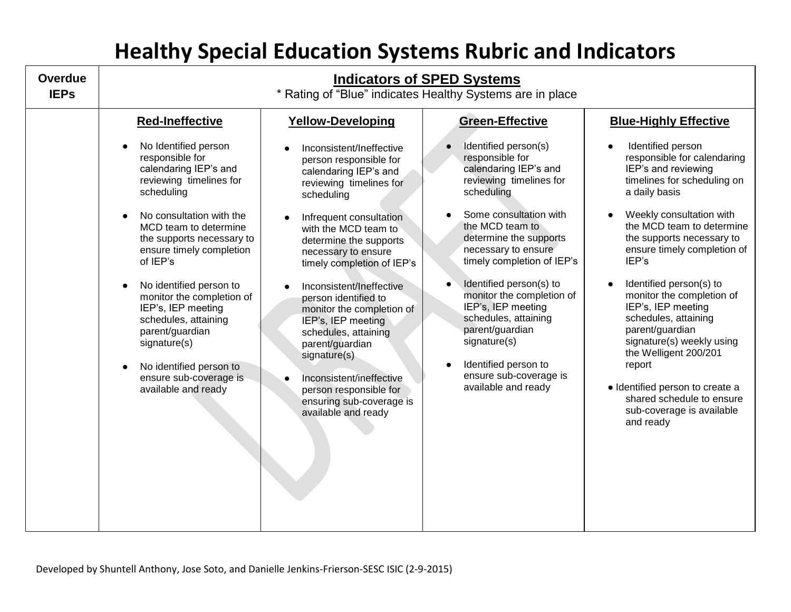| <b>Overdue</b><br>* Rating of "Blue" indicates Healthy Systems are in place<br><b>IEPs</b>                                                                                                                                                                                                                                                                                                                                                                                                                                                                                                                                                                                                                                                                                                                                                                                                                                                                                                                                                                                                                                                                                                                                                                                                                                                                                                                                                                                                                                                                                                                                                                                                                                                                                                                                                                                                                                                                                                                                                                                                                                                        | <b>Indicators of SPED Systems</b> |  |  |  |
|---------------------------------------------------------------------------------------------------------------------------------------------------------------------------------------------------------------------------------------------------------------------------------------------------------------------------------------------------------------------------------------------------------------------------------------------------------------------------------------------------------------------------------------------------------------------------------------------------------------------------------------------------------------------------------------------------------------------------------------------------------------------------------------------------------------------------------------------------------------------------------------------------------------------------------------------------------------------------------------------------------------------------------------------------------------------------------------------------------------------------------------------------------------------------------------------------------------------------------------------------------------------------------------------------------------------------------------------------------------------------------------------------------------------------------------------------------------------------------------------------------------------------------------------------------------------------------------------------------------------------------------------------------------------------------------------------------------------------------------------------------------------------------------------------------------------------------------------------------------------------------------------------------------------------------------------------------------------------------------------------------------------------------------------------------------------------------------------------------------------------------------------------|-----------------------------------|--|--|--|
| <b>Red-Ineffective</b><br><b>Yellow-Developing</b><br><b>Green-Effective</b><br><b>Blue-Highly Effective</b><br>No Identified person<br>Identified person(s)<br>Identified person<br>$\bullet$<br>Inconsistent/Ineffective<br>responsible for<br>responsible for<br>responsible for calendaring<br>person responsible for<br>IEP's and reviewing<br>calendaring IEP's and<br>calendaring IEP's and<br>calendaring IEP's and<br>reviewing timelines for<br>reviewing timelines for<br>timelines for scheduling on<br>reviewing timelines for<br>scheduling<br>scheduling<br>a daily basis<br>scheduling<br>Some consultation with<br>Weekly consultation with<br>No consultation with the<br>Infrequent consultation<br>the MCD team to determine<br>the MCD team to<br>MCD team to determine<br>with the MCD team to<br>determine the supports<br>the supports necessary to<br>the supports necessary to<br>determine the supports<br>ensure timely completion of<br>necessary to ensure<br>ensure timely completion<br>necessary to ensure<br>IEP's<br>timely completion of IEP's<br>of IEP's<br>timely completion of IEP's<br>Identified person(s) to<br>Identified person(s) to<br>No identified person to<br>Inconsistent/Ineffective<br>monitor the completion of<br>monitor the completion of<br>monitor the completion of<br>person identified to<br>IEP's, IEP meeting<br>IEP's, IEP meeting<br>IEP's, IEP meeting<br>monitor the completion of<br>schedules, attaining<br>schedules, attaining<br>schedules, attaining<br>IEP's, IEP meeting<br>parent/guardian<br>parent/guardian<br>parent/guardian<br>schedules, attaining<br>signature(s) weekly using<br>signature(s)<br>signature(s)<br>parent/guardian<br>the Welligent 200/201<br>signature(s)<br>Identified person to<br>report<br>No identified person to<br>ensure sub-coverage is<br>ensure sub-coverage is<br>Inconsistent/ineffective<br>available and ready<br>· Identified person to create a<br>available and ready<br>person responsible for<br>shared schedule to ensure<br>ensuring sub-coverage is<br>sub-coverage is available<br>available and ready<br>and ready |                                   |  |  |  |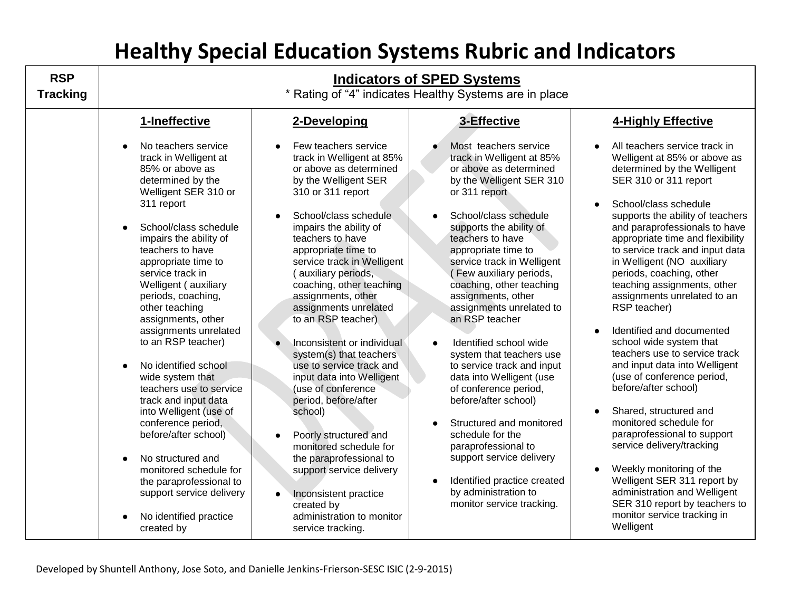| <b>RSP</b><br><b>Tracking</b> | <b>Indicators of SPED Systems</b><br>* Rating of "4" indicates Healthy Systems are in place                                                                                                                                                                                                                                                                                                                                                                                                                                                                                                                                         |                                                                                                                                                                                                                                                                                                                                                                                                                                                                                                                                                                                                                                                                             |                                                                                                                                                                                                                                                                                                                                                                                                                                                                                                                                                                                                                                                           |                                                                                                                                                                                                                                                                                                                                                                                                                                                                                                                                                                                                                                                                                                                                                                                                            |
|-------------------------------|-------------------------------------------------------------------------------------------------------------------------------------------------------------------------------------------------------------------------------------------------------------------------------------------------------------------------------------------------------------------------------------------------------------------------------------------------------------------------------------------------------------------------------------------------------------------------------------------------------------------------------------|-----------------------------------------------------------------------------------------------------------------------------------------------------------------------------------------------------------------------------------------------------------------------------------------------------------------------------------------------------------------------------------------------------------------------------------------------------------------------------------------------------------------------------------------------------------------------------------------------------------------------------------------------------------------------------|-----------------------------------------------------------------------------------------------------------------------------------------------------------------------------------------------------------------------------------------------------------------------------------------------------------------------------------------------------------------------------------------------------------------------------------------------------------------------------------------------------------------------------------------------------------------------------------------------------------------------------------------------------------|------------------------------------------------------------------------------------------------------------------------------------------------------------------------------------------------------------------------------------------------------------------------------------------------------------------------------------------------------------------------------------------------------------------------------------------------------------------------------------------------------------------------------------------------------------------------------------------------------------------------------------------------------------------------------------------------------------------------------------------------------------------------------------------------------------|
|                               | 1-Ineffective<br>No teachers service<br>track in Welligent at<br>85% or above as                                                                                                                                                                                                                                                                                                                                                                                                                                                                                                                                                    | 2-Developing<br>Few teachers service<br>track in Welligent at 85%<br>or above as determined                                                                                                                                                                                                                                                                                                                                                                                                                                                                                                                                                                                 | 3-Effective<br>Most teachers service<br>track in Welligent at 85%<br>or above as determined                                                                                                                                                                                                                                                                                                                                                                                                                                                                                                                                                               | 4-Highly Effective<br>All teachers service track in<br>Welligent at 85% or above as<br>determined by the Welligent                                                                                                                                                                                                                                                                                                                                                                                                                                                                                                                                                                                                                                                                                         |
|                               | determined by the<br>Welligent SER 310 or<br>311 report<br>School/class schedule<br>impairs the ability of<br>teachers to have<br>appropriate time to<br>service track in<br>Welligent (auxiliary<br>periods, coaching,<br>other teaching<br>assignments, other<br>assignments unrelated<br>to an RSP teacher)<br>No identified school<br>wide system that<br>teachers use to service<br>track and input data<br>into Welligent (use of<br>conference period,<br>before/after school)<br>No structured and<br>monitored schedule for<br>the paraprofessional to<br>support service delivery<br>No identified practice<br>created by | by the Welligent SER<br>310 or 311 report<br>School/class schedule<br>impairs the ability of<br>teachers to have<br>appropriate time to<br>service track in Welligent<br>(auxiliary periods,<br>coaching, other teaching<br>assignments, other<br>assignments unrelated<br>to an RSP teacher)<br>Inconsistent or individual<br>system(s) that teachers<br>use to service track and<br>input data into Welligent<br>(use of conference<br>period, before/after<br>school)<br>Poorly structured and<br>monitored schedule for<br>the paraprofessional to<br>support service delivery<br>Inconsistent practice<br>created by<br>administration to monitor<br>service tracking. | by the Welligent SER 310<br>or 311 report<br>School/class schedule<br>supports the ability of<br>teachers to have<br>appropriate time to<br>service track in Welligent<br>(Few auxiliary periods,<br>coaching, other teaching<br>assignments, other<br>assignments unrelated to<br>an RSP teacher<br>Identified school wide<br>system that teachers use<br>to service track and input<br>data into Welligent (use<br>of conference period,<br>before/after school)<br>Structured and monitored<br>schedule for the<br>paraprofessional to<br>support service delivery<br>Identified practice created<br>by administration to<br>monitor service tracking. | SER 310 or 311 report<br>School/class schedule<br>supports the ability of teachers<br>and paraprofessionals to have<br>appropriate time and flexibility<br>to service track and input data<br>in Welligent (NO auxiliary<br>periods, coaching, other<br>teaching assignments, other<br>assignments unrelated to an<br>RSP teacher)<br>Identified and documented<br>school wide system that<br>teachers use to service track<br>and input data into Welligent<br>(use of conference period,<br>before/after school)<br>Shared, structured and<br>monitored schedule for<br>paraprofessional to support<br>service delivery/tracking<br>Weekly monitoring of the<br>Welligent SER 311 report by<br>administration and Welligent<br>SER 310 report by teachers to<br>monitor service tracking in<br>Welligent |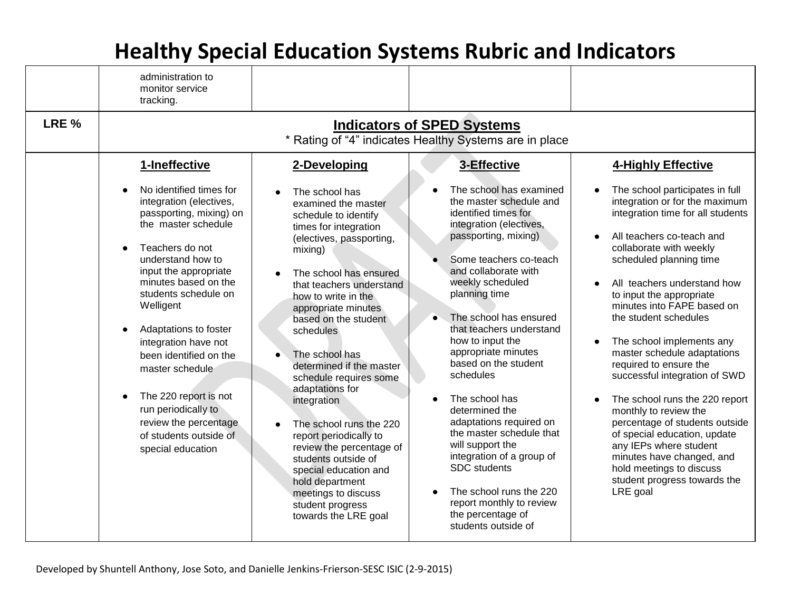|       | administration to<br>monitor service<br>tracking.                                                                                                                                                                                                                                                                                                                                                                                                                         |                                                                                                                                                                                                                                                                                                                                                                                                                                                                                                                                   |                                                                                                                                                                                                                                                                                                                                                                                                                                                                                                                                              |                                                                                                                                                                                                                                                                                                                                                                                                                                                                                                                                                                                                                                                                                                    |
|-------|---------------------------------------------------------------------------------------------------------------------------------------------------------------------------------------------------------------------------------------------------------------------------------------------------------------------------------------------------------------------------------------------------------------------------------------------------------------------------|-----------------------------------------------------------------------------------------------------------------------------------------------------------------------------------------------------------------------------------------------------------------------------------------------------------------------------------------------------------------------------------------------------------------------------------------------------------------------------------------------------------------------------------|----------------------------------------------------------------------------------------------------------------------------------------------------------------------------------------------------------------------------------------------------------------------------------------------------------------------------------------------------------------------------------------------------------------------------------------------------------------------------------------------------------------------------------------------|----------------------------------------------------------------------------------------------------------------------------------------------------------------------------------------------------------------------------------------------------------------------------------------------------------------------------------------------------------------------------------------------------------------------------------------------------------------------------------------------------------------------------------------------------------------------------------------------------------------------------------------------------------------------------------------------------|
| LRE % | <b>Indicators of SPED Systems</b><br>* Rating of "4" indicates Healthy Systems are in place                                                                                                                                                                                                                                                                                                                                                                               |                                                                                                                                                                                                                                                                                                                                                                                                                                                                                                                                   |                                                                                                                                                                                                                                                                                                                                                                                                                                                                                                                                              |                                                                                                                                                                                                                                                                                                                                                                                                                                                                                                                                                                                                                                                                                                    |
|       | 1-Ineffective<br>No identified times for<br>integration (electives,<br>passporting, mixing) on<br>the master schedule<br>Teachers do not<br>understand how to<br>input the appropriate<br>minutes based on the<br>students schedule on<br>Welligent<br>Adaptations to foster<br>integration have not<br>been identified on the<br>master schedule<br>The 220 report is not<br>run periodically to<br>review the percentage<br>of students outside of<br>special education | 2-Developing<br>The school has<br>examined the master<br>schedule to identify<br>times for integration<br>(electives, passporting,<br>mixing)<br>The school has ensured<br>that teachers understand<br>how to write in the<br>appropriate minutes<br>based on the student<br>schedules<br>The school has<br>determined if the master<br>schedule requires some<br>adaptations for<br>integration<br>The school runs the 220<br>report periodically to<br>review the percentage of<br>students outside of<br>special education and | 3-Effective<br>The school has examined<br>the master schedule and<br>identified times for<br>integration (electives,<br>passporting, mixing)<br>Some teachers co-teach<br>and collaborate with<br>weekly scheduled<br>planning time<br>The school has ensured<br>that teachers understand<br>how to input the<br>appropriate minutes<br>based on the student<br>schedules<br>The school has<br>determined the<br>adaptations required on<br>the master schedule that<br>will support the<br>integration of a group of<br><b>SDC</b> students | 4-Highly Effective<br>The school participates in full<br>integration or for the maximum<br>integration time for all students<br>All teachers co-teach and<br>collaborate with weekly<br>scheduled planning time<br>All teachers understand how<br>to input the appropriate<br>minutes into FAPE based on<br>the student schedules<br>The school implements any<br>$\bullet$<br>master schedule adaptations<br>required to ensure the<br>successful integration of SWD<br>The school runs the 220 report<br>$\bullet$<br>monthly to review the<br>percentage of students outside<br>of special education, update<br>any IEPs where student<br>minutes have changed, and<br>hold meetings to discuss |
|       |                                                                                                                                                                                                                                                                                                                                                                                                                                                                           | hold department<br>meetings to discuss<br>student progress<br>towards the LRE goal                                                                                                                                                                                                                                                                                                                                                                                                                                                | The school runs the 220<br>report monthly to review<br>the percentage of<br>students outside of                                                                                                                                                                                                                                                                                                                                                                                                                                              | student progress towards the<br>LRE goal                                                                                                                                                                                                                                                                                                                                                                                                                                                                                                                                                                                                                                                           |